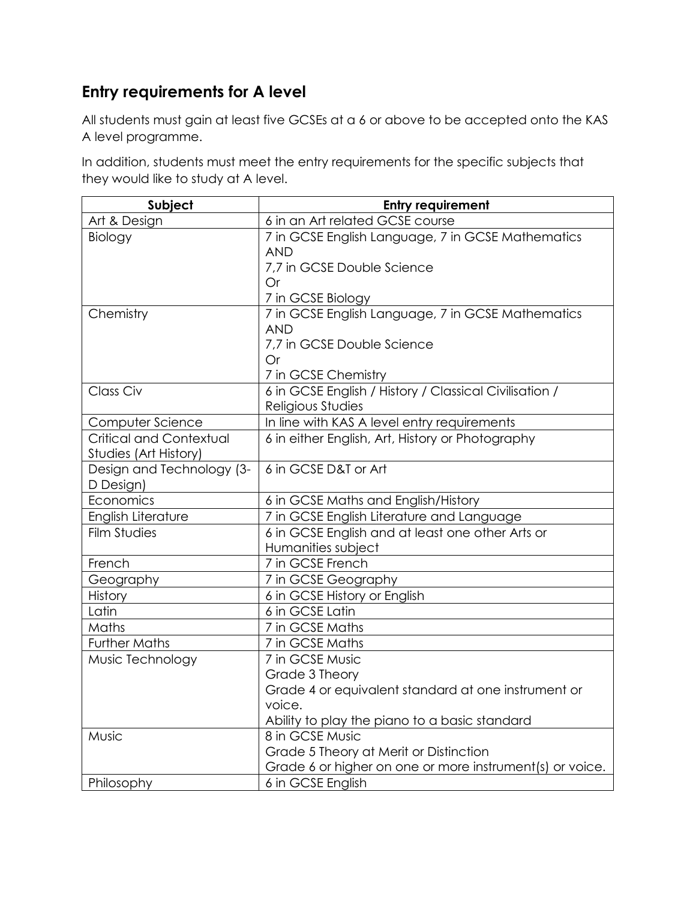## **Entry requirements for A level**

All students must gain at least five GCSEs at a 6 or above to be accepted onto the KAS A level programme.

In addition, students must meet the entry requirements for the specific subjects that they would like to study at A level.

| Subject                   | <b>Entry requirement</b>                                 |
|---------------------------|----------------------------------------------------------|
| Art & Design              | 6 in an Art related GCSE course                          |
| Biology                   | 7 in GCSE English Language, 7 in GCSE Mathematics        |
|                           | <b>AND</b>                                               |
|                           | 7,7 in GCSE Double Science                               |
|                           | <b>Or</b>                                                |
|                           | 7 in GCSE Biology                                        |
| Chemistry                 | 7 in GCSE English Language, 7 in GCSE Mathematics        |
|                           | <b>AND</b>                                               |
|                           | 7,7 in GCSE Double Science                               |
|                           | <b>Or</b>                                                |
|                           | 7 in GCSE Chemistry                                      |
| Class Civ                 | 6 in GCSE English / History / Classical Civilisation /   |
|                           | Religious Studies                                        |
| Computer Science          | In line with KAS A level entry requirements              |
| Critical and Contextual   | 6 in either English, Art, History or Photography         |
| Studies (Art History)     |                                                          |
| Design and Technology (3- | 6 in GCSE D&T or Art                                     |
| D Design)                 |                                                          |
| Economics                 | 6 in GCSE Maths and English/History                      |
| English Literature        | 7 in GCSE English Literature and Language                |
| <b>Film Studies</b>       | 6 in GCSE English and at least one other Arts or         |
|                           | Humanities subject                                       |
| French                    | 7 in GCSE French                                         |
| Geography                 | 7 in GCSE Geography                                      |
| History                   | 6 in GCSE History or English                             |
| Latin                     | 6 in GCSE Latin                                          |
| Maths                     | 7 in GCSE Maths                                          |
| <b>Further Maths</b>      | 7 in GCSE Maths                                          |
| Music Technology          | 7 in GCSE Music                                          |
|                           | Grade 3 Theory                                           |
|                           | Grade 4 or equivalent standard at one instrument or      |
|                           | voice.                                                   |
|                           | Ability to play the piano to a basic standard            |
| Music                     | 8 in GCSE Music                                          |
|                           | Grade 5 Theory at Merit or Distinction                   |
|                           | Grade 6 or higher on one or more instrument(s) or voice. |
| Philosophy                | 6 in GCSE English                                        |